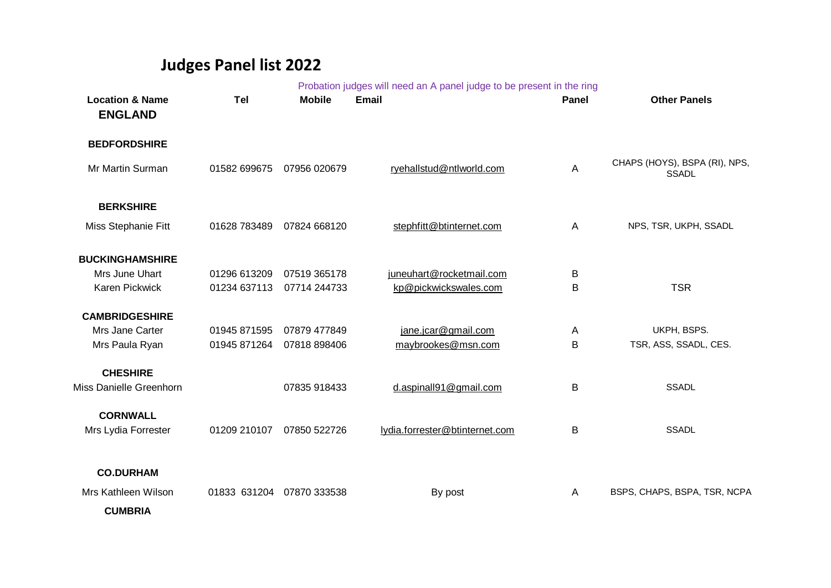## **Judges Panel list 2022**

|                                              |                           |               | Probation judges will need an A panel judge to be present in the ring |              |                                               |
|----------------------------------------------|---------------------------|---------------|-----------------------------------------------------------------------|--------------|-----------------------------------------------|
| <b>Location &amp; Name</b><br><b>ENGLAND</b> | Tel                       | <b>Mobile</b> | <b>Email</b>                                                          | <b>Panel</b> | <b>Other Panels</b>                           |
| <b>BEDFORDSHIRE</b>                          |                           |               |                                                                       |              |                                               |
| Mr Martin Surman                             | 01582 699675              | 07956 020679  | ryehallstud@ntlworld.com                                              | A            | CHAPS (HOYS), BSPA (RI), NPS,<br><b>SSADL</b> |
| <b>BERKSHIRE</b>                             |                           |               |                                                                       |              |                                               |
| Miss Stephanie Fitt                          | 01628 783489              | 07824 668120  | stephfitt@btinternet.com                                              | A            | NPS, TSR, UKPH, SSADL                         |
| <b>BUCKINGHAMSHIRE</b>                       |                           |               |                                                                       |              |                                               |
| Mrs June Uhart                               | 01296 613209              | 07519 365178  | juneuhart@rocketmail.com                                              | B            |                                               |
| Karen Pickwick                               | 01234 637113              | 07714 244733  | kp@pickwickswales.com                                                 | B            | <b>TSR</b>                                    |
| <b>CAMBRIDGESHIRE</b>                        |                           |               |                                                                       |              |                                               |
| Mrs Jane Carter                              | 01945 871595              | 07879 477849  | jane.jcar@gmail.com                                                   | Α            | UKPH, BSPS.                                   |
| Mrs Paula Ryan                               | 01945 871264              | 07818 898406  | maybrookes@msn.com                                                    | B            | TSR, ASS, SSADL, CES.                         |
| <b>CHESHIRE</b>                              |                           |               |                                                                       |              |                                               |
| Miss Danielle Greenhorn                      |                           | 07835 918433  | d.aspinall91@gmail.com                                                | B            | <b>SSADL</b>                                  |
| <b>CORNWALL</b>                              |                           |               |                                                                       |              |                                               |
| Mrs Lydia Forrester                          | 01209 210107              | 07850 522726  | lydia.forrester@btinternet.com                                        | B            | <b>SSADL</b>                                  |
| <b>CO.DURHAM</b>                             |                           |               |                                                                       |              |                                               |
| Mrs Kathleen Wilson                          | 01833 631204 07870 333538 |               |                                                                       | A            | BSPS, CHAPS, BSPA, TSR, NCPA                  |
|                                              |                           |               | By post                                                               |              |                                               |
| <b>CUMBRIA</b>                               |                           |               |                                                                       |              |                                               |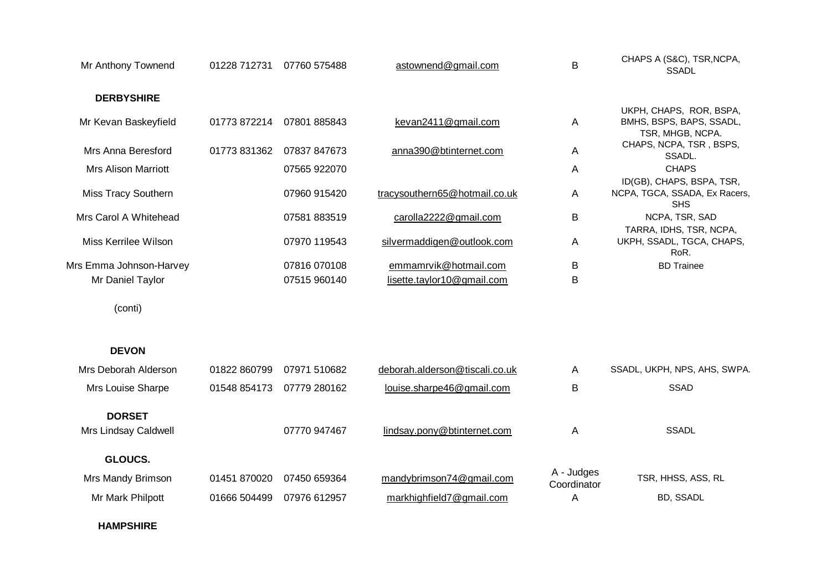| Mr Anthony Townend                    | 01228 712731 | 07760 575488 | astownend@gmail.com            | B                         | CHAPS A (S&C), TSR, NCPA,<br><b>SSADL</b>                                |
|---------------------------------------|--------------|--------------|--------------------------------|---------------------------|--------------------------------------------------------------------------|
| <b>DERBYSHIRE</b>                     |              |              |                                |                           |                                                                          |
| Mr Kevan Baskeyfield                  | 01773 872214 | 07801 885843 | kevan2411@gmail.com            | Α                         | UKPH, CHAPS, ROR, BSPA,<br>BMHS, BSPS, BAPS, SSADL,<br>TSR, MHGB, NCPA.  |
| Mrs Anna Beresford                    | 01773 831362 | 07837 847673 | anna390@btinternet.com         | A                         | CHAPS, NCPA, TSR, BSPS,<br>SSADL.                                        |
| <b>Mrs Alison Marriott</b>            |              | 07565 922070 |                                | Α                         | <b>CHAPS</b>                                                             |
| Miss Tracy Southern                   |              | 07960 915420 | tracysouthern65@hotmail.co.uk  | Α                         | ID(GB), CHAPS, BSPA, TSR,<br>NCPA, TGCA, SSADA, Ex Racers,<br><b>SHS</b> |
| Mrs Carol A Whitehead                 |              | 07581 883519 | carolla2222@gmail.com          | B                         | NCPA, TSR, SAD                                                           |
| Miss Kerrilee Wilson                  |              | 07970 119543 | silvermaddigen@outlook.com     | Α                         | TARRA, IDHS, TSR, NCPA,<br>UKPH, SSADL, TGCA, CHAPS,<br>RoR.             |
| Mrs Emma Johnson-Harvey               |              | 07816 070108 | emmamrvik@hotmail.com          | В                         | <b>BD</b> Trainee                                                        |
| Mr Daniel Taylor                      |              | 07515 960140 | lisette.taylor10@gmail.com     | B                         |                                                                          |
| (conti)                               |              |              |                                |                           |                                                                          |
| <b>DEVON</b>                          |              |              |                                |                           |                                                                          |
| Mrs Deborah Alderson                  | 01822 860799 | 07971 510682 | deborah.alderson@tiscali.co.uk | A                         | SSADL, UKPH, NPS, AHS, SWPA.                                             |
| Mrs Louise Sharpe                     | 01548 854173 | 07779 280162 | louise.sharpe46@gmail.com      | B                         | <b>SSAD</b>                                                              |
| <b>DORSET</b><br>Mrs Lindsay Caldwell |              | 07770 947467 | lindsay.pony@btinternet.com    | A                         | <b>SSADL</b>                                                             |
| GLOUCS.                               |              |              |                                |                           |                                                                          |
| Mrs Mandy Brimson                     | 01451 870020 | 07450 659364 | mandybrimson74@gmail.com       | A - Judges<br>Coordinator | TSR, HHSS, ASS, RL                                                       |
| Mr Mark Philpott                      | 01666 504499 | 07976 612957 | markhighfield7@gmail.com       | Α                         | BD, SSADL                                                                |

## **HAMPSHIRE**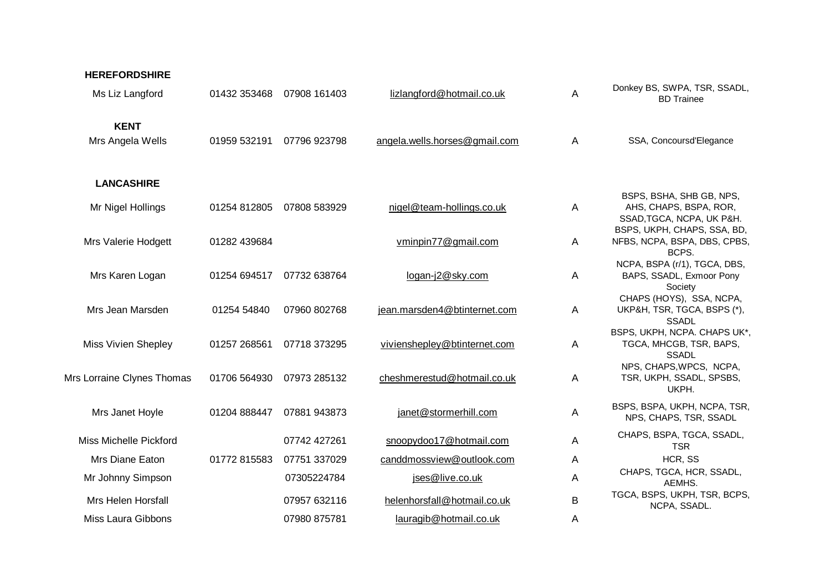| <b>HEREFORDSHIRE</b>            |              |              |                               |   |                                                                                                                |
|---------------------------------|--------------|--------------|-------------------------------|---|----------------------------------------------------------------------------------------------------------------|
| Ms Liz Langford                 | 01432 353468 | 07908 161403 | lizlangford@hotmail.co.uk     | A | Donkey BS, SWPA, TSR, SSADL,<br><b>BD</b> Trainee                                                              |
| <b>KENT</b><br>Mrs Angela Wells | 01959 532191 | 07796 923798 | angela.wells.horses@gmail.com | Α | SSA, Concoursd'Elegance                                                                                        |
| <b>LANCASHIRE</b>               |              |              |                               |   |                                                                                                                |
| Mr Nigel Hollings               | 01254 812805 | 07808 583929 | nigel@team-hollings.co.uk     | A | BSPS, BSHA, SHB GB, NPS,<br>AHS, CHAPS, BSPA, ROR,<br>SSAD, TGCA, NCPA, UK P&H.<br>BSPS, UKPH, CHAPS, SSA, BD, |
| Mrs Valerie Hodgett             | 01282 439684 |              | vminpin77@gmail.com           | A | NFBS, NCPA, BSPA, DBS, CPBS,<br>BCPS.                                                                          |
| Mrs Karen Logan                 | 01254 694517 | 07732 638764 | logan-j2@sky.com              | A | NCPA, BSPA (r/1), TGCA, DBS,<br>BAPS, SSADL, Exmoor Pony<br>Society                                            |
| Mrs Jean Marsden                | 01254 54840  | 07960 802768 | jean.marsden4@btinternet.com  | A | CHAPS (HOYS), SSA, NCPA,<br>UKP&H, TSR, TGCA, BSPS (*),<br><b>SSADL</b>                                        |
| <b>Miss Vivien Shepley</b>      | 01257 268561 | 07718 373295 | vivienshepley@btinternet.com  | A | BSPS, UKPH, NCPA. CHAPS UK*,<br>TGCA, MHCGB, TSR, BAPS,<br><b>SSADL</b>                                        |
| Mrs Lorraine Clynes Thomas      | 01706 564930 | 07973 285132 | cheshmerestud@hotmail.co.uk   | A | NPS, CHAPS, WPCS, NCPA,<br>TSR, UKPH, SSADL, SPSBS,<br>UKPH.                                                   |
| Mrs Janet Hoyle                 | 01204 888447 | 07881 943873 | janet@stormerhill.com         | A | BSPS, BSPA, UKPH, NCPA, TSR,<br>NPS, CHAPS, TSR, SSADL                                                         |
| Miss Michelle Pickford          |              | 07742 427261 | snoopydoo17@hotmail.com       | Α | CHAPS, BSPA, TGCA, SSADL,<br><b>TSR</b>                                                                        |
| Mrs Diane Eaton                 | 01772 815583 | 07751 337029 | canddmossview@outlook.com     | Α | HCR, SS                                                                                                        |
| Mr Johnny Simpson               |              | 07305224784  | jses@live.co.uk               | Α | CHAPS, TGCA, HCR, SSADL,<br>AEMHS.                                                                             |
| Mrs Helen Horsfall              |              | 07957 632116 | helenhorsfall@hotmail.co.uk   | B | TGCA, BSPS, UKPH, TSR, BCPS,<br>NCPA, SSADL.                                                                   |
| Miss Laura Gibbons              |              | 07980 875781 | lauragib@hotmail.co.uk        | Α |                                                                                                                |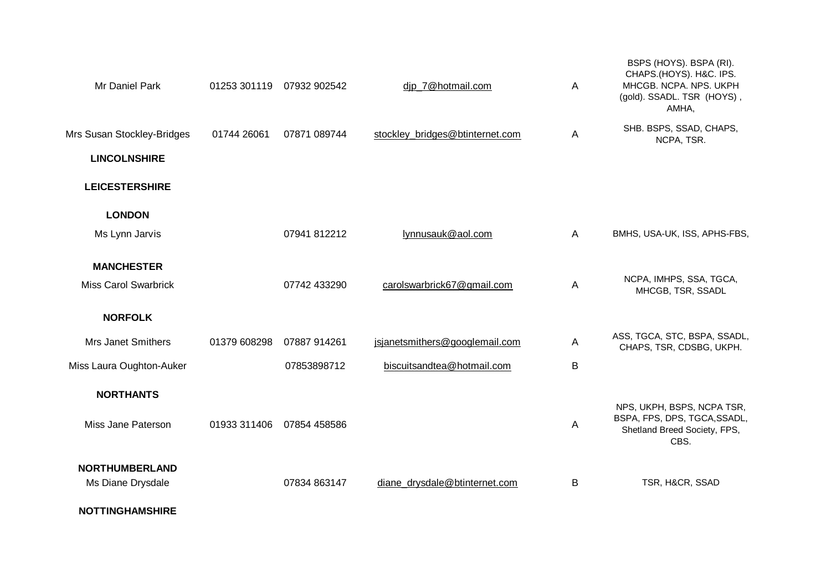| Mr Daniel Park              | 01253 301119 | 07932 902542 | djp_7@hotmail.com               | A | BSPS (HOYS). BSPA (RI).<br>CHAPS.(HOYS). H&C. IPS.<br>MHCGB. NCPA. NPS. UKPH<br>(gold). SSADL. TSR (HOYS),<br>AMHA, |
|-----------------------------|--------------|--------------|---------------------------------|---|---------------------------------------------------------------------------------------------------------------------|
| Mrs Susan Stockley-Bridges  | 01744 26061  | 07871 089744 | stockley bridges@btinternet.com | A | SHB. BSPS, SSAD, CHAPS,<br>NCPA, TSR.                                                                               |
| <b>LINCOLNSHIRE</b>         |              |              |                                 |   |                                                                                                                     |
| <b>LEICESTERSHIRE</b>       |              |              |                                 |   |                                                                                                                     |
| <b>LONDON</b>               |              |              |                                 |   |                                                                                                                     |
| Ms Lynn Jarvis              |              | 07941 812212 | lynnusauk@aol.com               | A | BMHS, USA-UK, ISS, APHS-FBS,                                                                                        |
| <b>MANCHESTER</b>           |              |              |                                 |   |                                                                                                                     |
| <b>Miss Carol Swarbrick</b> |              | 07742 433290 | carolswarbrick67@gmail.com      | A | NCPA, IMHPS, SSA, TGCA,<br>MHCGB, TSR, SSADL                                                                        |
| <b>NORFOLK</b>              |              |              |                                 |   |                                                                                                                     |
| <b>Mrs Janet Smithers</b>   | 01379 608298 | 07887 914261 | jsjanetsmithers@googlemail.com  | Α | ASS, TGCA, STC, BSPA, SSADL,<br>CHAPS, TSR, CDSBG, UKPH.                                                            |
| Miss Laura Oughton-Auker    |              | 07853898712  | biscuitsandtea@hotmail.com      | B |                                                                                                                     |
| <b>NORTHANTS</b>            |              |              |                                 |   |                                                                                                                     |
| Miss Jane Paterson          | 01933 311406 | 07854 458586 |                                 | A | NPS, UKPH, BSPS, NCPA TSR,<br>BSPA, FPS, DPS, TGCA, SSADL,<br>Shetland Breed Society, FPS,<br>CBS.                  |
| <b>NORTHUMBERLAND</b>       |              |              |                                 |   |                                                                                                                     |
| Ms Diane Drysdale           |              | 07834 863147 | diane drysdale@btinternet.com   | В | TSR, H&CR, SSAD                                                                                                     |

**NOTTINGHAMSHIRE**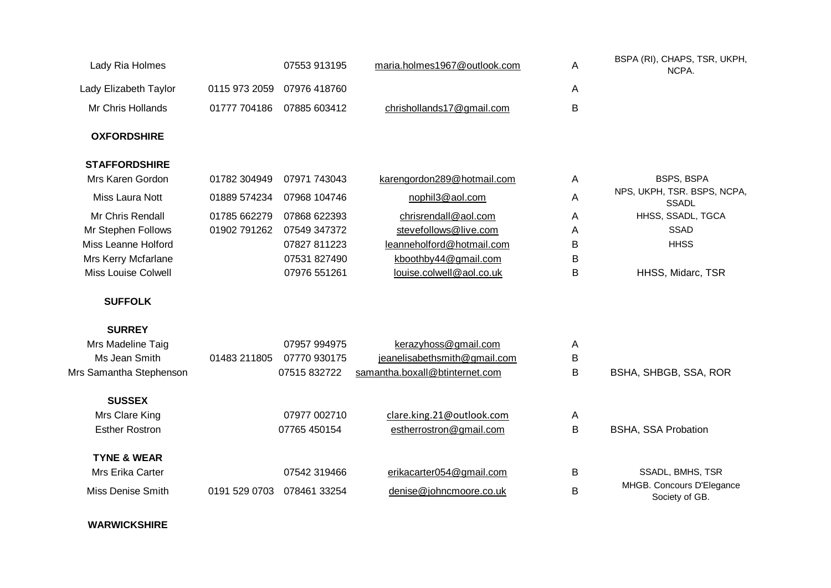| Lady Elizabeth Taylor   |               | 07553 913195 | maria.holmes1967@outlook.com   | A | BSPA (RI), CHAPS, TSR, UKPH,<br>NCPA.       |
|-------------------------|---------------|--------------|--------------------------------|---|---------------------------------------------|
|                         | 0115 973 2059 | 07976 418760 |                                | A |                                             |
| Mr Chris Hollands       | 01777 704186  | 07885 603412 | chrishollands17@gmail.com      | B |                                             |
| <b>OXFORDSHIRE</b>      |               |              |                                |   |                                             |
| <b>STAFFORDSHIRE</b>    |               |              |                                |   |                                             |
| Mrs Karen Gordon        | 01782 304949  | 07971 743043 | karengordon289@hotmail.com     | Α | <b>BSPS, BSPA</b>                           |
| Miss Laura Nott         | 01889 574234  | 07968 104746 | nophil3@aol.com                | A | NPS, UKPH, TSR. BSPS, NCPA,<br><b>SSADL</b> |
| Mr Chris Rendall        | 01785 662279  | 07868 622393 | chrisrendall@aol.com           | A | HHSS, SSADL, TGCA                           |
| Mr Stephen Follows      | 01902 791262  | 07549 347372 | stevefollows@live.com          | Α | <b>SSAD</b>                                 |
| Miss Leanne Holford     |               | 07827 811223 | leanneholford@hotmail.com      | B | <b>HHSS</b>                                 |
| Mrs Kerry Mcfarlane     |               | 07531 827490 | kboothby44@gmail.com           | B |                                             |
| Miss Louise Colwell     |               | 07976 551261 | louise.colwell@aol.co.uk       | B | HHSS, Midarc, TSR                           |
|                         |               |              |                                |   |                                             |
| <b>SUFFOLK</b>          |               |              |                                |   |                                             |
| <b>SURREY</b>           |               |              |                                |   |                                             |
| Mrs Madeline Taig       |               | 07957 994975 | kerazyhoss@gmail.com           | A |                                             |
| Ms Jean Smith           | 01483 211805  | 07770 930175 | jeanelisabethsmith@gmail.com   | B |                                             |
| Mrs Samantha Stephenson |               | 07515 832722 | samantha.boxall@btinternet.com | B | BSHA, SHBGB, SSA, ROR                       |
| <b>SUSSEX</b>           |               |              |                                |   |                                             |
| Mrs Clare King          |               | 07977 002710 | clare.king.21@outlook.com      | A |                                             |
| <b>Esther Rostron</b>   |               | 07765 450154 | estherrostron@gmail.com        | B | <b>BSHA, SSA Probation</b>                  |
| <b>TYNE &amp; WEAR</b>  |               |              |                                |   |                                             |
| Mrs Erika Carter        |               | 07542 319466 | erikacarter054@gmail.com       | B | SSADL, BMHS, TSR                            |

## **WARWICKSHIRE**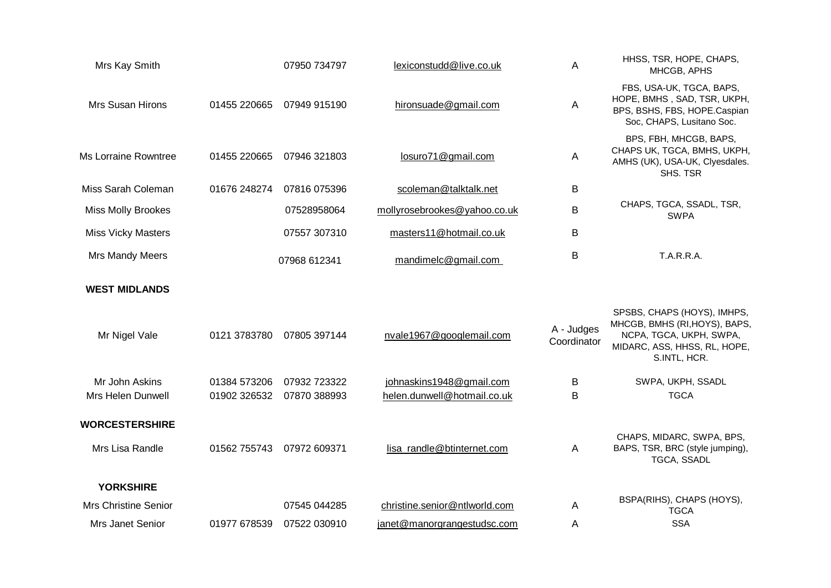| Mrs Kay Smith               |              | 07950 734797 | lexiconstudd@live.co.uk       | A                         | HHSS, TSR, HOPE, CHAPS,<br>MHCGB, APHS                                                                                                  |
|-----------------------------|--------------|--------------|-------------------------------|---------------------------|-----------------------------------------------------------------------------------------------------------------------------------------|
| Mrs Susan Hirons            | 01455 220665 | 07949 915190 | hironsuade@gmail.com          | A                         | FBS, USA-UK, TGCA, BAPS,<br>HOPE, BMHS, SAD, TSR, UKPH,<br>BPS, BSHS, FBS, HOPE.Caspian<br>Soc, CHAPS, Lusitano Soc.                    |
| <b>Ms Lorraine Rowntree</b> | 01455 220665 | 07946 321803 | losuro71@gmail.com            | A                         | BPS, FBH, MHCGB, BAPS,<br>CHAPS UK, TGCA, BMHS, UKPH,<br>AMHS (UK), USA-UK, Clyesdales.<br>SHS. TSR                                     |
| Miss Sarah Coleman          | 01676 248274 | 07816 075396 | scoleman@talktalk.net         | B                         |                                                                                                                                         |
| <b>Miss Molly Brookes</b>   |              | 07528958064  | mollyrosebrookes@yahoo.co.uk  | B                         | CHAPS, TGCA, SSADL, TSR,<br><b>SWPA</b>                                                                                                 |
| <b>Miss Vicky Masters</b>   |              | 07557 307310 | masters11@hotmail.co.uk       | В                         |                                                                                                                                         |
| Mrs Mandy Meers             |              | 07968 612341 | mandimelc@gmail.com           | B                         | <b>T.A.R.R.A.</b>                                                                                                                       |
| <b>WEST MIDLANDS</b>        |              |              |                               |                           |                                                                                                                                         |
| Mr Nigel Vale               | 0121 3783780 | 07805 397144 | nvale1967@googlemail.com      | A - Judges<br>Coordinator | SPSBS, CHAPS (HOYS), IMHPS,<br>MHCGB, BMHS (RI, HOYS), BAPS,<br>NCPA, TGCA, UKPH, SWPA,<br>MIDARC, ASS, HHSS, RL, HOPE,<br>S.INTL, HCR. |
| Mr John Askins              | 01384 573206 | 07932 723322 | johnaskins1948@gmail.com      | В                         | SWPA, UKPH, SSADL                                                                                                                       |
| <b>Mrs Helen Dunwell</b>    | 01902 326532 | 07870 388993 | helen.dunwell@hotmail.co.uk   | B                         | <b>TGCA</b>                                                                                                                             |
| <b>WORCESTERSHIRE</b>       |              |              |                               |                           |                                                                                                                                         |
| Mrs Lisa Randle             | 01562 755743 | 07972 609371 | lisa randle@btinternet.com    | A                         | CHAPS, MIDARC, SWPA, BPS,<br>BAPS, TSR, BRC (style jumping),<br>TGCA, SSADL                                                             |
| <b>YORKSHIRE</b>            |              |              |                               |                           |                                                                                                                                         |
| <b>Mrs Christine Senior</b> |              | 07545 044285 | christine.senior@ntlworld.com | A                         | BSPA(RIHS), CHAPS (HOYS),<br><b>TGCA</b>                                                                                                |
| Mrs Janet Senior            | 01977 678539 | 07522 030910 | janet@manorgrangestudsc.com   | Α                         | <b>SSA</b>                                                                                                                              |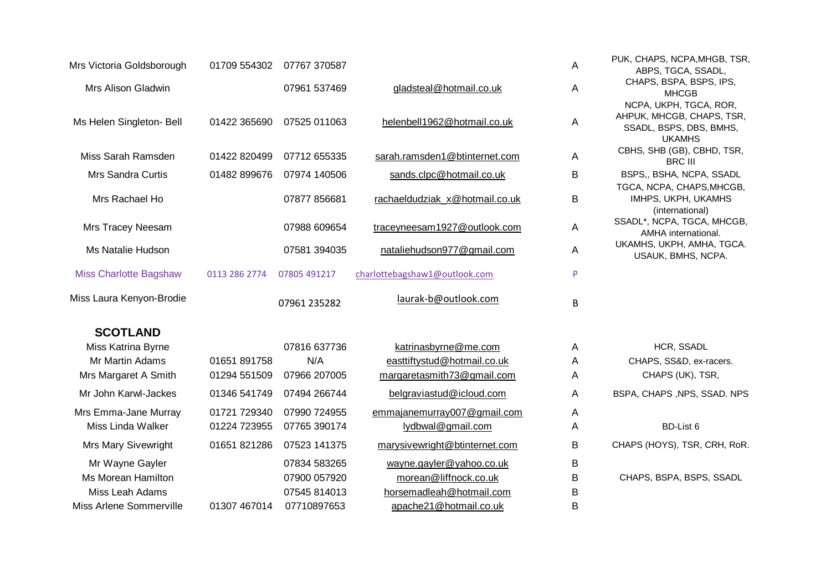| Mrs Victoria Goldsborough     | 01709 554302  | 07767 370587 |                                | A            | PUK, CHAPS, NCPA, MHGB, TSR,<br>ABPS, TGCA, SSADL,                                              |
|-------------------------------|---------------|--------------|--------------------------------|--------------|-------------------------------------------------------------------------------------------------|
| Mrs Alison Gladwin            |               | 07961 537469 | gladsteal@hotmail.co.uk        | Α            | CHAPS, BSPA, BSPS, IPS,<br><b>MHCGB</b>                                                         |
| Ms Helen Singleton- Bell      | 01422 365690  | 07525 011063 | helenbell1962@hotmail.co.uk    | $\mathsf{A}$ | NCPA, UKPH, TGCA, ROR,<br>AHPUK, MHCGB, CHAPS, TSR,<br>SSADL, BSPS, DBS, BMHS,<br><b>UKAMHS</b> |
| Miss Sarah Ramsden            | 01422 820499  | 07712 655335 | sarah.ramsden1@btinternet.com  | A            | CBHS, SHB (GB), CBHD, TSR,<br><b>BRC III</b>                                                    |
| <b>Mrs Sandra Curtis</b>      | 01482 899676  | 07974 140506 | sands.clpc@hotmail.co.uk       | B            | BSPS,, BSHA, NCPA, SSADL                                                                        |
| Mrs Rachael Ho                |               | 07877 856681 | rachaeldudziak_x@hotmail.co.uk | B            | TGCA, NCPA, CHAPS, MHCGB,<br>IMHPS, UKPH, UKAMHS<br>(international)                             |
| Mrs Tracey Neesam             |               | 07988 609654 | traceyneesam1927@outlook.com   | $\mathsf{A}$ | SSADL*, NCPA, TGCA, MHCGB,<br>AMHA international.                                               |
| Ms Natalie Hudson             |               | 07581 394035 | nataliehudson977@gmail.com     | A            | UKAMHS, UKPH, AMHA, TGCA.<br>USAUK, BMHS, NCPA.                                                 |
| <b>Miss Charlotte Bagshaw</b> | 0113 286 2774 | 07805 491217 | charlottebagshaw1@outlook.com  | P            |                                                                                                 |
| Miss Laura Kenyon-Brodie      |               | 07961 235282 | laurak-b@outlook.com           | B            |                                                                                                 |
| <b>SCOTLAND</b>               |               |              |                                |              |                                                                                                 |
| Miss Katrina Byrne            |               | 07816 637736 | katrinasbyrne@me.com           | A            | HCR, SSADL                                                                                      |
| <b>Mr Martin Adams</b>        | 01651 891758  | N/A          | easttiftystud@hotmail.co.uk    | $\mathsf{A}$ | CHAPS, SS&D, ex-racers.                                                                         |
| Mrs Margaret A Smith          | 01294 551509  | 07966 207005 | margaretasmith73@gmail.com     | A            | CHAPS (UK), TSR,                                                                                |
| Mr John Karwl-Jackes          | 01346 541749  | 07494 266744 | belgraviastud@icloud.com       | A            | BSPA, CHAPS, NPS, SSAD. NPS                                                                     |
| Mrs Emma-Jane Murray          | 01721 729340  | 07990 724955 | emmajanemurray007@gmail.com    | A            |                                                                                                 |
| Miss Linda Walker             | 01224 723955  | 07765 390174 | lydbwal@gmail.com              | Α            | BD-List 6                                                                                       |
| Mrs Mary Sivewright           | 01651 821286  | 07523 141375 | marysivewright@btinternet.com  | B            | CHAPS (HOYS), TSR, CRH, RoR.                                                                    |
| Mr Wayne Gayler               |               | 07834 583265 | wayne.gayler@yahoo.co.uk       | B            |                                                                                                 |
| Ms Morean Hamilton            |               | 07900 057920 | morean@liffnock.co.uk          | B            | CHAPS, BSPA, BSPS, SSADL                                                                        |
| Miss Leah Adams               |               | 07545 814013 | horsemadleah@hotmail.com       | B            |                                                                                                 |
| Miss Arlene Sommerville       | 01307 467014  | 07710897653  | apache21@hotmail.co.uk         | B            |                                                                                                 |